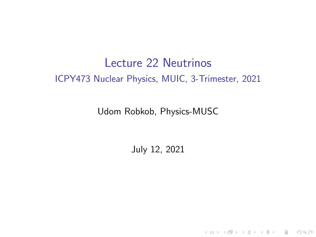## Lecture 22 Neutrinos ICPY473 Nuclear Physics, MUIC, 3-Trimester, 2021

Udom Robkob, Physics-MUSC

July 12, 2021

K ロ ▶ K @ ▶ K 할 ▶ K 할 ▶ | 할 | © 9 Q @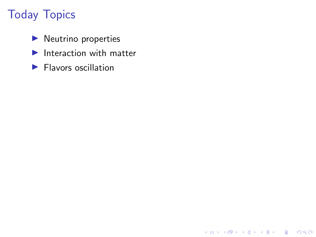# Today Topics

- $\blacktriangleright$  Neutrino properties
- $\blacktriangleright$  Interaction with matter

K ロ ▶ K @ ▶ K 할 ▶ K 할 ▶ | 할 | ⊙Q @

 $\blacktriangleright$  Flavors oscillation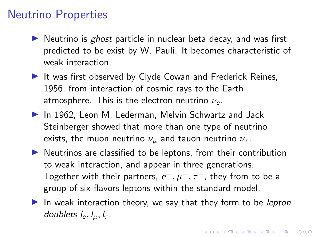### Neutrino Properties

- $\triangleright$  Neutrino is ghost particle in nuclear beta decay, and was first predicted to be exist by W. Pauli. It becomes characteristic of weak interaction.
- $\blacktriangleright$  It was first observed by Clyde Cowan and Frederick Reines. 1956, from interaction of cosmic rays to the Earth atmosphere. This is the electron neutrino  $\nu_e$ .
- $\blacktriangleright$  In 1962, Leon M. Lederman, Melvin Schwartz and Jack Steinberger showed that more than one type of neutrino exists, the muon neutrino  $\nu_{\mu}$  and tauon neutrino  $\nu_{\tau}$ .
- $\blacktriangleright$  Neutrinos are classified to be leptons, from their contribution to weak interaction, and appear in three generations. Together with their partners,  $e^-,\mu^-,\tau^-$ , they from to be a group of six-flavors leptons within the standard model.
- In weak interaction theory, we say that they form to be *lepton* doublets  $l_e, l_u, l_\tau$ .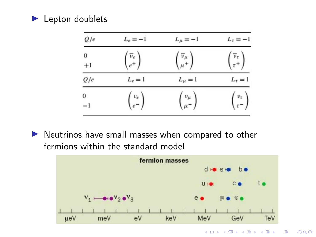#### $\blacktriangleright$  Lepton doublets

| Q/e              | $L_e = -1$                                              | $L_{\mu}=-1$                                                | $L_{\tau}=-1$                        |
|------------------|---------------------------------------------------------|-------------------------------------------------------------|--------------------------------------|
| $\bf{0}$<br>$+1$ | $\begin{pmatrix} \overline{\nu}_e \\ e^+ \end{pmatrix}$ | $\begin{pmatrix} \overline{v}_{\mu} \\ \mu^+ \end{pmatrix}$ | $\frac{\overline{v}_{\tau}}{\tau^+}$ |
| Q/e              | $L_{\epsilon} = 1$                                      | $L_{\mu} = 1$                                               | $L_{\tau} = 1$                       |
| $\bf{0}$<br>-1   | $v_e$ =                                                 | $v_\mu$<br>$\mu^-$                                          |                                      |

 $\blacktriangleright$  Neutrinos have small masses when compared to other fermions within the standard model



 $\mathbb{B}$  $2990$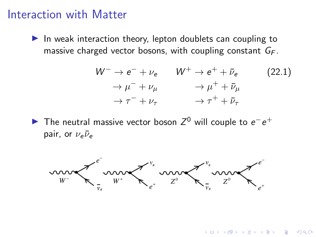### Interaction with Matter

 $\blacktriangleright$  In weak interaction theory, lepton doublets can coupling to massive charged vector bosons, with coupling constant  $G_F$ .

$$
W^{-} \rightarrow e^{-} + \nu_{e} \qquad W^{+} \rightarrow e^{+} + \bar{\nu}_{e} \qquad (22.1)
$$
  
\n
$$
\rightarrow \mu^{-} + \nu_{\mu} \qquad \rightarrow \mu^{+} + \bar{\nu}_{\mu}
$$
  
\n
$$
\rightarrow \tau^{-} + \nu_{\tau} \qquad \rightarrow \tau^{+} + \bar{\nu}_{\tau}
$$

 $\mathbf{A} \equiv \mathbf{A} + \mathbf{A} + \mathbf{B} + \mathbf{A} + \mathbf{B} + \mathbf{A} + \mathbf{B} + \mathbf{A} + \mathbf{B} + \mathbf{A} + \mathbf{B} + \mathbf{A} + \mathbf{B} + \mathbf{A} + \mathbf{B} + \mathbf{A} + \mathbf{B} + \mathbf{A} + \mathbf{B} + \mathbf{A} + \mathbf{B} + \mathbf{A} + \mathbf{B} + \mathbf{A} + \mathbf{B} + \mathbf{A} + \mathbf{B} + \mathbf{A} + \mathbf{B} + \mathbf{A} + \math$ 

The neutral massive vector boson  $Z^0$  will couple to  $e^-e^+$ pair, or  $\nu_e \bar{\nu}_e$ 

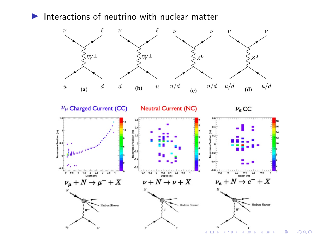$\blacktriangleright$  Interactions of neutrino with nuclear matter



 $290$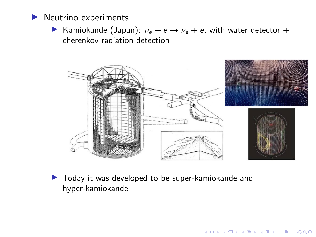

**I** Kamiokande (Japan):  $\nu_e + e \rightarrow \nu_e + e$ , with water detector + cherenkov radiation detection



K ロ ▶ K 個 ▶ K 할 ▶ K 할 ▶ 이 할 → 이익 @

 $\blacktriangleright$  Today it was developed to be super-kamiokande and hyper-kamiokande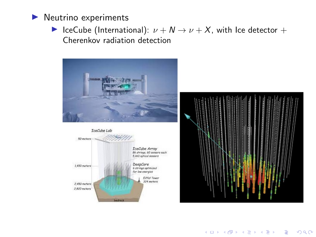

**►** IceCube (International):  $\nu + N \rightarrow \nu + X$ , with Ice detector + Cherenkov radiation detection







K ロ ▶ K 레 ▶ K 코 ▶ K 코 ▶ 『코 │ ◆ 9 Q Q ↓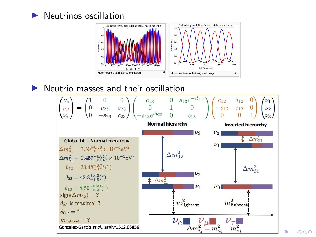



#### $\blacktriangleright$  Neutrio masses and their oscillation



 $2Q$